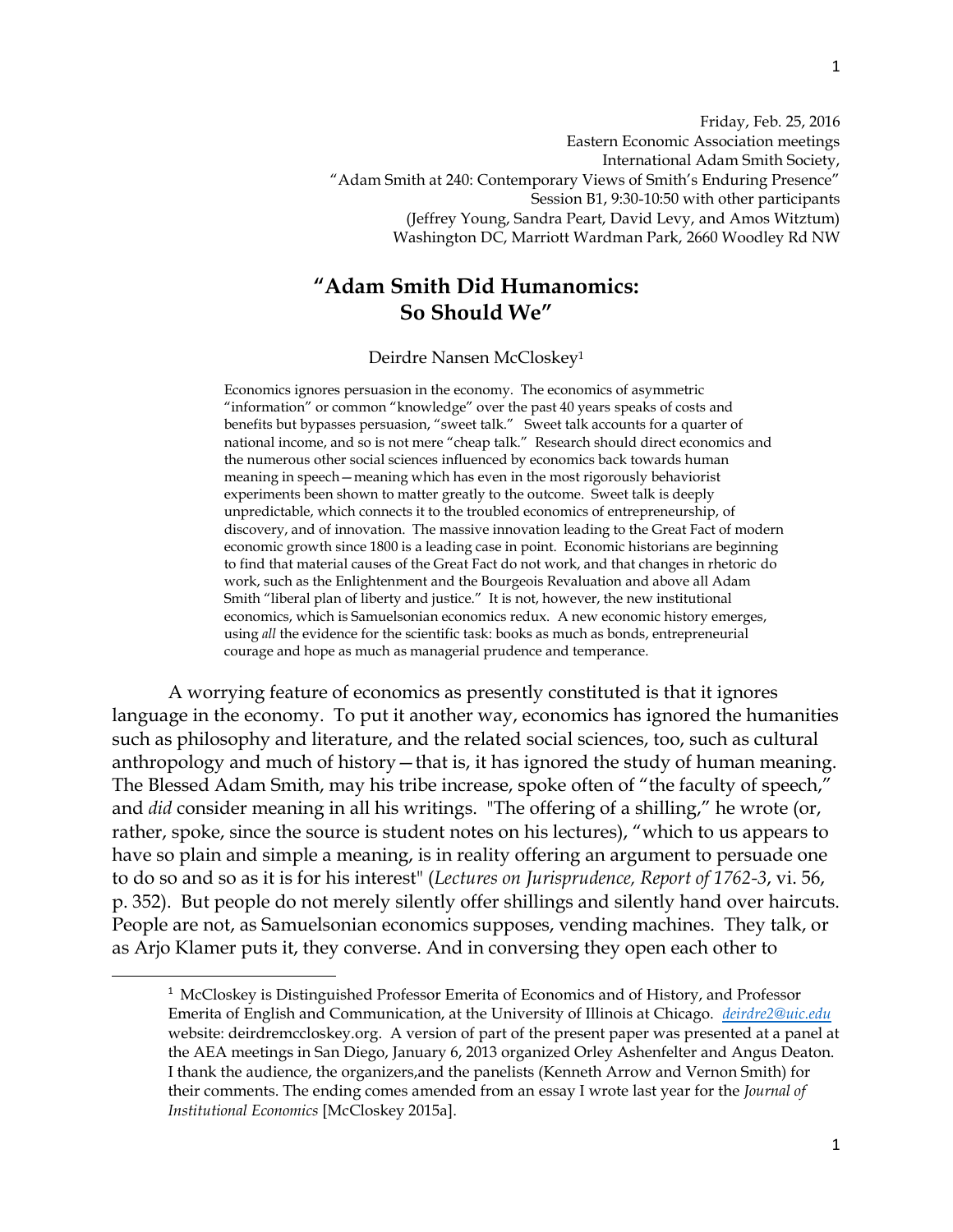Friday, Feb. 25, 2016 Eastern Economic Association meetings International Adam Smith Society, "Adam Smith at 240: Contemporary Views of Smith's Enduring Presence" Session B1, 9:30-10:50 with other participants (Jeffrey Young, Sandra Peart, David Levy, and Amos Witztum) Washington DC, Marriott Wardman Park, 2660 Woodley Rd NW

## **"Adam Smith Did Humanomics: So Should We"**

Deirdre Nansen McCloskey<sup>1</sup>

Economics ignores persuasion in the economy. The economics of asymmetric "information" or common "knowledge" over the past 40 years speaks of costs and benefits but bypasses persuasion, "sweet talk." Sweet talk accounts for a quarter of national income, and so is not mere "cheap talk." Research should direct economics and the numerous other social sciences influenced by economics back towards human meaning in speech—meaning which has even in the most rigorously behaviorist experiments been shown to matter greatly to the outcome. Sweet talk is deeply unpredictable, which connects it to the troubled economics of entrepreneurship, of discovery, and of innovation. The massive innovation leading to the Great Fact of modern economic growth since 1800 is a leading case in point. Economic historians are beginning to find that material causes of the Great Fact do not work, and that changes in rhetoric do work, such as the Enlightenment and the Bourgeois Revaluation and above all Adam Smith "liberal plan of liberty and justice." It is not, however, the new institutional economics, which is Samuelsonian economics redux. A new economic history emerges, using *all* the evidence for the scientific task: books as much as bonds, entrepreneurial courage and hope as much as managerial prudence and temperance.

A worrying feature of economics as presently constituted is that it ignores language in the economy. To put it another way, economics has ignored the humanities such as philosophy and literature, and the related social sciences, too, such as cultural anthropology and much of history—that is, it has ignored the study of human meaning. The Blessed Adam Smith, may his tribe increase, spoke often of "the faculty of speech," and *did* consider meaning in all his writings. "The offering of a shilling," he wrote (or, rather, spoke, since the source is student notes on his lectures), "which to us appears to have so plain and simple a meaning, is in reality offering an argument to persuade one to do so and so as it is for his interest" (*Lectures on Jurisprudence, Report of 1762-3*, vi. 56, p. 352). But people do not merely silently offer shillings and silently hand over haircuts. People are not, as Samuelsonian economics supposes, vending machines. They talk, or as Arjo Klamer puts it, they converse. And in conversing they open each other to

l

<sup>&</sup>lt;sup>1</sup> McCloskey is Distinguished Professor Emerita of Economics and of History, and Professor Emerita of English and Communication, at the University of Illinois at Chicago. *[deirdre2@uic.edu](mailto:deirdre2@uic.edu)*  website: deirdremccloskey.org. A version of part of the present paper was presented at a panel at the AEA meetings in San Diego, January 6, 2013 organized Orley Ashenfelter and Angus Deaton. I thank the audience, the organizers,and the panelists (Kenneth Arrow and Vernon Smith) for their comments. The ending comes amended from an essay I wrote last year for the *Journal of Institutional Economics* [McCloskey 2015a].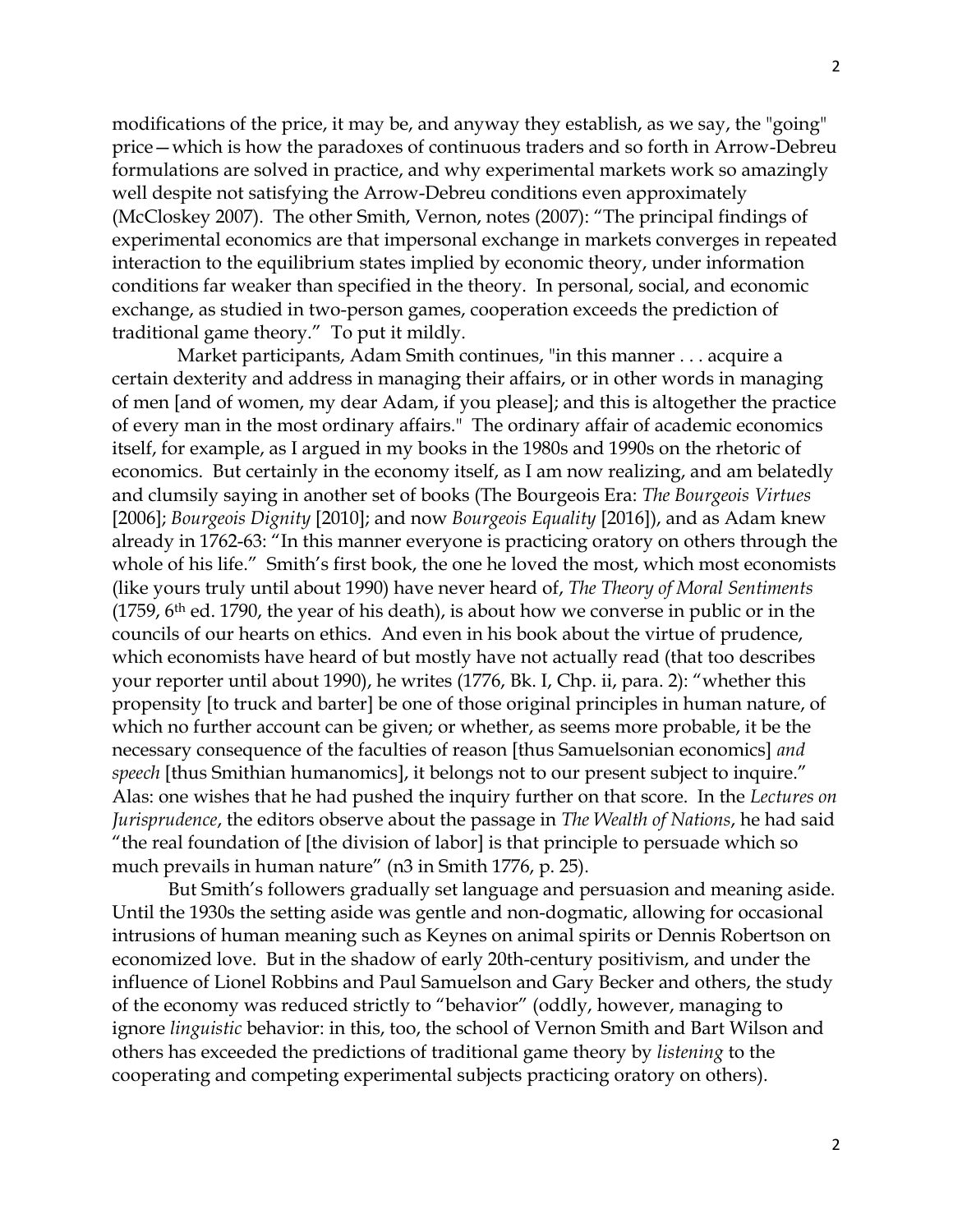modifications of the price, it may be, and anyway they establish, as we say, the "going" price—which is how the paradoxes of continuous traders and so forth in Arrow-Debreu formulations are solved in practice, and why experimental markets work so amazingly well despite not satisfying the Arrow-Debreu conditions even approximately (McCloskey 2007). The other Smith, Vernon, notes (2007): "The principal findings of experimental economics are that impersonal exchange in markets converges in repeated interaction to the equilibrium states implied by economic theory, under information conditions far weaker than specified in the theory. In personal, social, and economic exchange, as studied in two-person games, cooperation exceeds the prediction of traditional game theory." To put it mildly.

 Market participants, Adam Smith continues, "in this manner . . . acquire a certain dexterity and address in managing their affairs, or in other words in managing of men [and of women, my dear Adam, if you please]; and this is altogether the practice of every man in the most ordinary affairs." The ordinary affair of academic economics itself, for example, as I argued in my books in the 1980s and 1990s on the rhetoric of economics. But certainly in the economy itself, as I am now realizing, and am belatedly and clumsily saying in another set of books (The Bourgeois Era: *The Bourgeois Virtues* [2006]; *Bourgeois Dignity* [2010]; and now *Bourgeois Equality* [2016]), and as Adam knew already in 1762-63: "In this manner everyone is practicing oratory on others through the whole of his life." Smith's first book, the one he loved the most, which most economists (like yours truly until about 1990) have never heard of, *The Theory of Moral Sentiments*  $(1759, 6<sup>th</sup>$  ed. 1790, the year of his death), is about how we converse in public or in the councils of our hearts on ethics. And even in his book about the virtue of prudence, which economists have heard of but mostly have not actually read (that too describes your reporter until about 1990), he writes (1776, Bk. I, Chp. ii, para. 2): "whether this propensity [to truck and barter] be one of those original principles in human nature, of which no further account can be given; or whether, as seems more probable, it be the necessary consequence of the faculties of reason [thus Samuelsonian economics] *and speech* [thus Smithian humanomics], it belongs not to our present subject to inquire." Alas: one wishes that he had pushed the inquiry further on that score. In the *Lectures on Jurisprudence*, the editors observe about the passage in *The Wealth of Nations*, he had said "the real foundation of [the division of labor] is that principle to persuade which so much prevails in human nature" (n3 in Smith 1776, p. 25).

But Smith's followers gradually set language and persuasion and meaning aside. Until the 1930s the setting aside was gentle and non-dogmatic, allowing for occasional intrusions of human meaning such as Keynes on animal spirits or Dennis Robertson on economized love. But in the shadow of early 20th-century positivism, and under the influence of Lionel Robbins and Paul Samuelson and Gary Becker and others, the study of the economy was reduced strictly to "behavior" (oddly, however, managing to ignore *linguistic* behavior: in this, too, the school of Vernon Smith and Bart Wilson and others has exceeded the predictions of traditional game theory by *listening* to the cooperating and competing experimental subjects practicing oratory on others).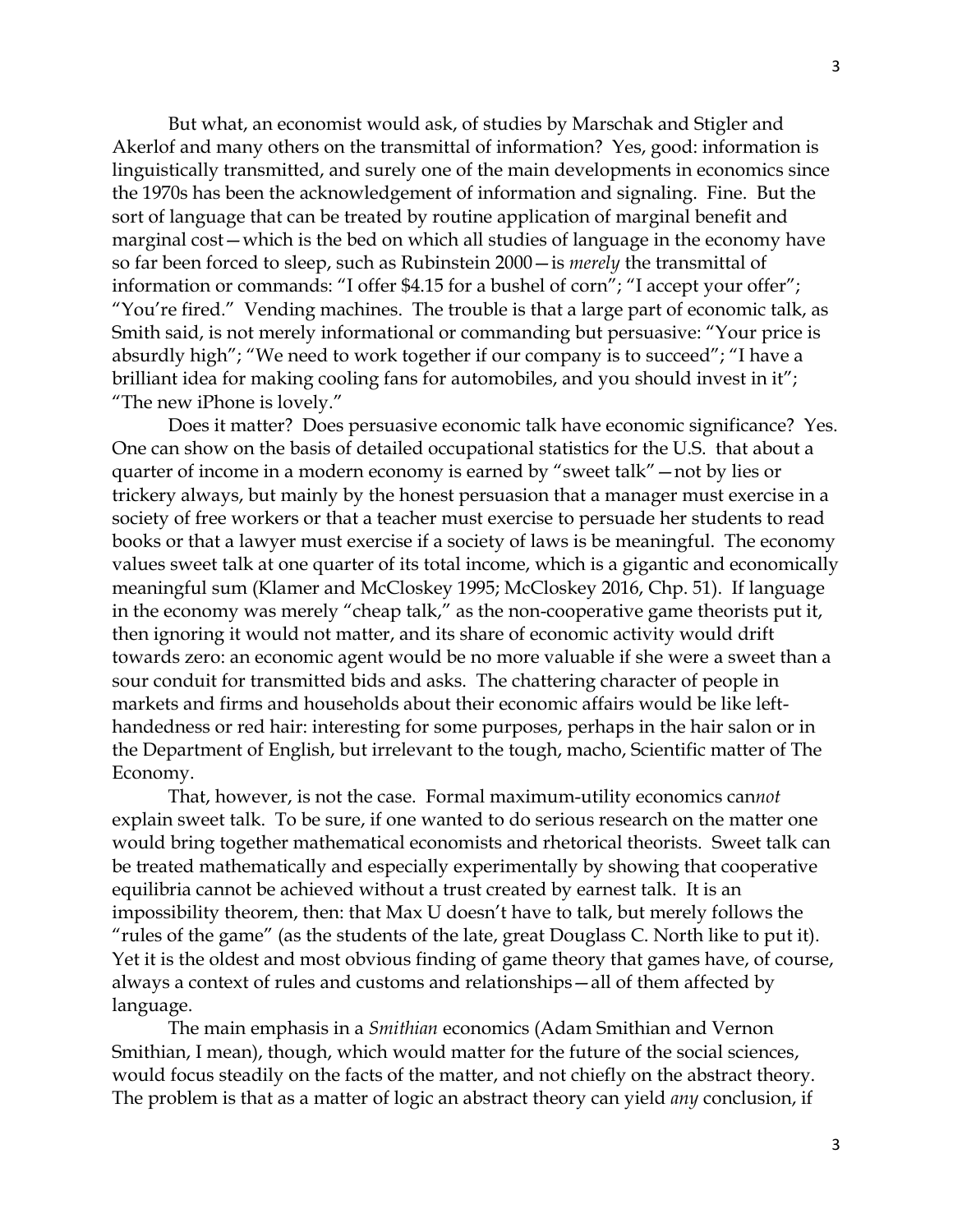But what, an economist would ask, of studies by Marschak and Stigler and Akerlof and many others on the transmittal of information? Yes, good: information is linguistically transmitted, and surely one of the main developments in economics since the 1970s has been the acknowledgement of information and signaling. Fine. But the sort of language that can be treated by routine application of marginal benefit and marginal cost—which is the bed on which all studies of language in the economy have so far been forced to sleep, such as Rubinstein 2000—is *merely* the transmittal of information or commands: "I offer \$4.15 for a bushel of corn"; "I accept your offer"; "You're fired." Vending machines. The trouble is that a large part of economic talk, as Smith said, is not merely informational or commanding but persuasive: "Your price is absurdly high"; "We need to work together if our company is to succeed"; "I have a brilliant idea for making cooling fans for automobiles, and you should invest in it"; "The new iPhone is lovely."

Does it matter? Does persuasive economic talk have economic significance? Yes. One can show on the basis of detailed occupational statistics for the U.S. that about a quarter of income in a modern economy is earned by "sweet talk"—not by lies or trickery always, but mainly by the honest persuasion that a manager must exercise in a society of free workers or that a teacher must exercise to persuade her students to read books or that a lawyer must exercise if a society of laws is be meaningful. The economy values sweet talk at one quarter of its total income, which is a gigantic and economically meaningful sum (Klamer and McCloskey 1995; McCloskey 2016, Chp. 51). If language in the economy was merely "cheap talk," as the non-cooperative game theorists put it, then ignoring it would not matter, and its share of economic activity would drift towards zero: an economic agent would be no more valuable if she were a sweet than a sour conduit for transmitted bids and asks. The chattering character of people in markets and firms and households about their economic affairs would be like lefthandedness or red hair: interesting for some purposes, perhaps in the hair salon or in the Department of English, but irrelevant to the tough, macho, Scientific matter of The Economy.

That, however, is not the case. Formal maximum-utility economics can*not* explain sweet talk. To be sure, if one wanted to do serious research on the matter one would bring together mathematical economists and rhetorical theorists. Sweet talk can be treated mathematically and especially experimentally by showing that cooperative equilibria cannot be achieved without a trust created by earnest talk. It is an impossibility theorem, then: that Max U doesn't have to talk, but merely follows the "rules of the game" (as the students of the late, great Douglass C. North like to put it). Yet it is the oldest and most obvious finding of game theory that games have, of course, always a context of rules and customs and relationships—all of them affected by language.

The main emphasis in a *Smithian* economics (Adam Smithian and Vernon Smithian, I mean), though, which would matter for the future of the social sciences, would focus steadily on the facts of the matter, and not chiefly on the abstract theory. The problem is that as a matter of logic an abstract theory can yield *any* conclusion, if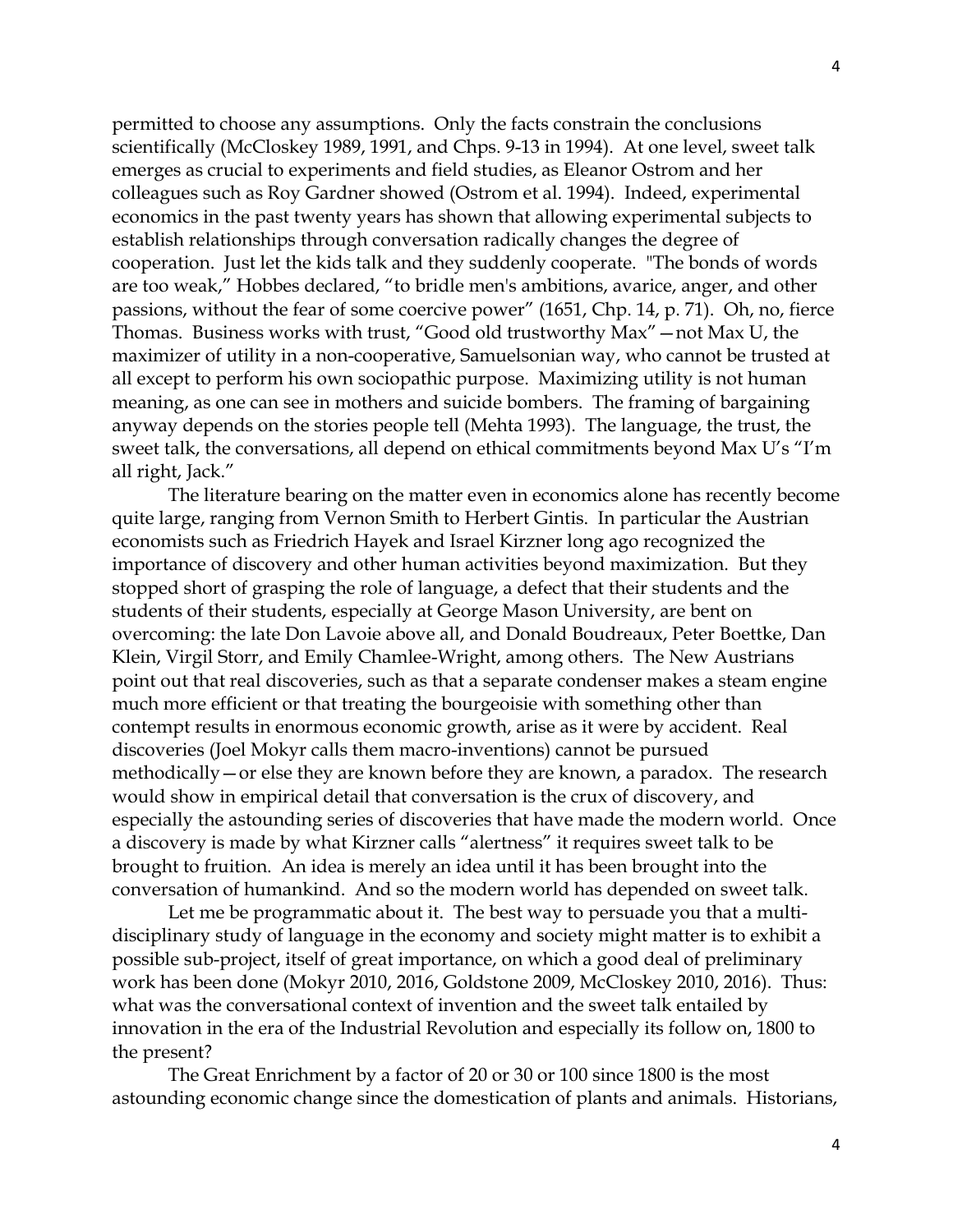permitted to choose any assumptions. Only the facts constrain the conclusions scientifically (McCloskey 1989, 1991, and Chps. 9-13 in 1994). At one level, sweet talk emerges as crucial to experiments and field studies, as Eleanor Ostrom and her colleagues such as Roy Gardner showed (Ostrom et al. 1994). Indeed, experimental economics in the past twenty years has shown that allowing experimental subjects to establish relationships through conversation radically changes the degree of cooperation. Just let the kids talk and they suddenly cooperate. "The bonds of words are too weak," Hobbes declared, "to bridle men's ambitions, avarice, anger, and other passions, without the fear of some coercive power" (1651, Chp. 14, p. 71). Oh, no, fierce Thomas. Business works with trust, "Good old trustworthy Max"—not Max U, the maximizer of utility in a non-cooperative, Samuelsonian way, who cannot be trusted at all except to perform his own sociopathic purpose. Maximizing utility is not human meaning, as one can see in mothers and suicide bombers. The framing of bargaining anyway depends on the stories people tell (Mehta 1993). The language, the trust, the sweet talk, the conversations, all depend on ethical commitments beyond Max U's "I'm all right, Jack."

The literature bearing on the matter even in economics alone has recently become quite large, ranging from Vernon Smith to Herbert Gintis. In particular the Austrian economists such as Friedrich Hayek and Israel Kirzner long ago recognized the importance of discovery and other human activities beyond maximization. But they stopped short of grasping the role of language, a defect that their students and the students of their students, especially at George Mason University, are bent on overcoming: the late Don Lavoie above all, and Donald Boudreaux, Peter Boettke, Dan Klein, Virgil Storr, and Emily Chamlee-Wright, among others. The New Austrians point out that real discoveries, such as that a separate condenser makes a steam engine much more efficient or that treating the bourgeoisie with something other than contempt results in enormous economic growth, arise as it were by accident. Real discoveries (Joel Mokyr calls them macro-inventions) cannot be pursued methodically—or else they are known before they are known, a paradox. The research would show in empirical detail that conversation is the crux of discovery, and especially the astounding series of discoveries that have made the modern world. Once a discovery is made by what Kirzner calls "alertness" it requires sweet talk to be brought to fruition. An idea is merely an idea until it has been brought into the conversation of humankind. And so the modern world has depended on sweet talk.

Let me be programmatic about it. The best way to persuade you that a multidisciplinary study of language in the economy and society might matter is to exhibit a possible sub-project, itself of great importance, on which a good deal of preliminary work has been done (Mokyr 2010, 2016, Goldstone 2009, McCloskey 2010, 2016). Thus: what was the conversational context of invention and the sweet talk entailed by innovation in the era of the Industrial Revolution and especially its follow on, 1800 to the present?

The Great Enrichment by a factor of 20 or 30 or 100 since 1800 is the most astounding economic change since the domestication of plants and animals. Historians,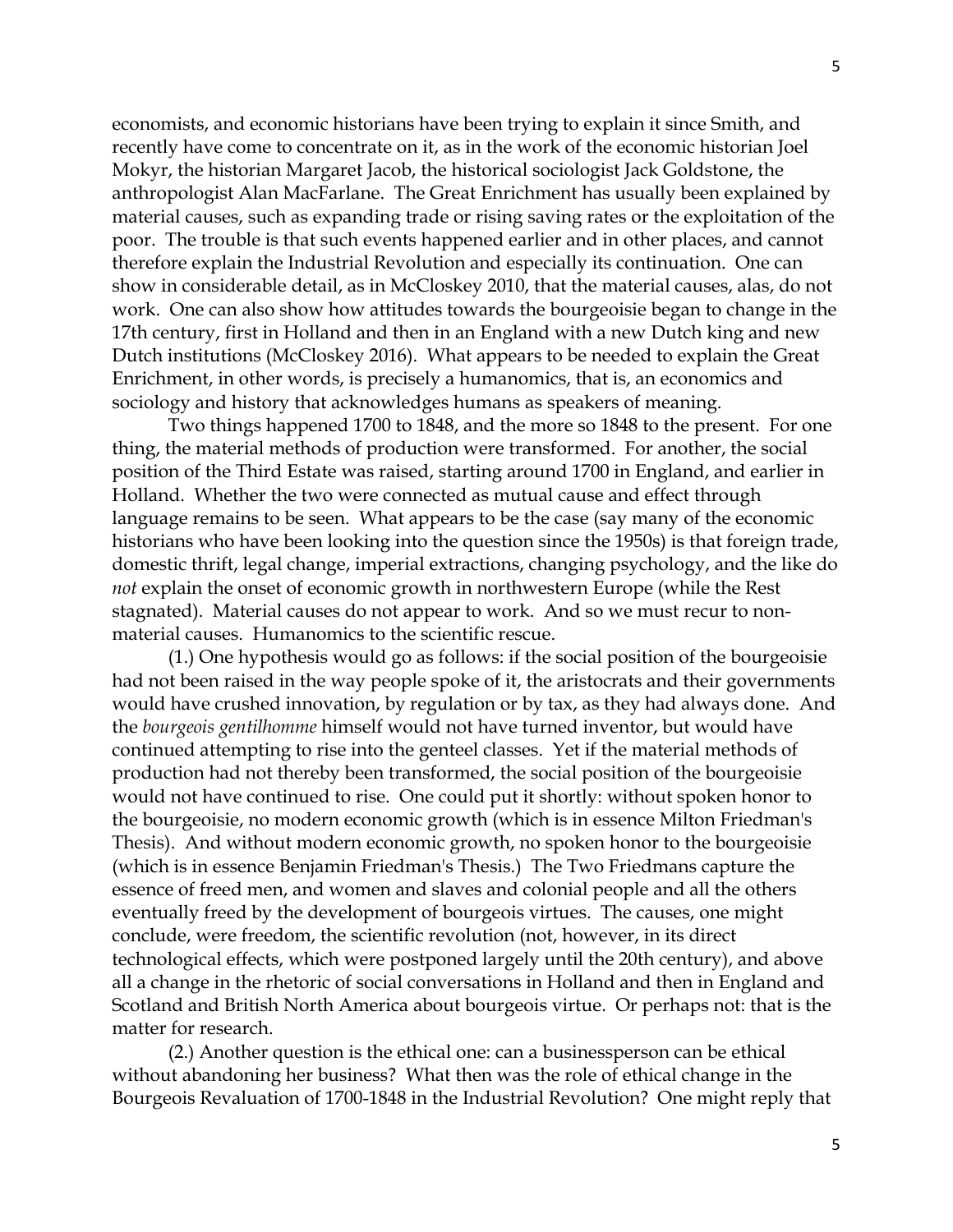economists, and economic historians have been trying to explain it since Smith, and recently have come to concentrate on it, as in the work of the economic historian Joel Mokyr, the historian Margaret Jacob, the historical sociologist Jack Goldstone, the anthropologist Alan MacFarlane. The Great Enrichment has usually been explained by material causes, such as expanding trade or rising saving rates or the exploitation of the poor. The trouble is that such events happened earlier and in other places, and cannot therefore explain the Industrial Revolution and especially its continuation. One can show in considerable detail, as in McCloskey 2010, that the material causes, alas, do not work. One can also show how attitudes towards the bourgeoisie began to change in the 17th century, first in Holland and then in an England with a new Dutch king and new Dutch institutions (McCloskey 2016). What appears to be needed to explain the Great Enrichment, in other words, is precisely a humanomics, that is, an economics and sociology and history that acknowledges humans as speakers of meaning.

Two things happened 1700 to 1848, and the more so 1848 to the present. For one thing, the material methods of production were transformed. For another, the social position of the Third Estate was raised, starting around 1700 in England, and earlier in Holland. Whether the two were connected as mutual cause and effect through language remains to be seen. What appears to be the case (say many of the economic historians who have been looking into the question since the 1950s) is that foreign trade, domestic thrift, legal change, imperial extractions, changing psychology, and the like do *not* explain the onset of economic growth in northwestern Europe (while the Rest stagnated). Material causes do not appear to work. And so we must recur to nonmaterial causes. Humanomics to the scientific rescue.

(1.) One hypothesis would go as follows: if the social position of the bourgeoisie had not been raised in the way people spoke of it, the aristocrats and their governments would have crushed innovation, by regulation or by tax, as they had always done. And the *bourgeois gentilhomme* himself would not have turned inventor, but would have continued attempting to rise into the genteel classes. Yet if the material methods of production had not thereby been transformed, the social position of the bourgeoisie would not have continued to rise. One could put it shortly: without spoken honor to the bourgeoisie, no modern economic growth (which is in essence Milton Friedman's Thesis). And without modern economic growth, no spoken honor to the bourgeoisie (which is in essence Benjamin Friedman's Thesis.) The Two Friedmans capture the essence of freed men, and women and slaves and colonial people and all the others eventually freed by the development of bourgeois virtues. The causes, one might conclude, were freedom, the scientific revolution (not, however, in its direct technological effects, which were postponed largely until the 20th century), and above all a change in the rhetoric of social conversations in Holland and then in England and Scotland and British North America about bourgeois virtue. Or perhaps not: that is the matter for research.

(2.) Another question is the ethical one: can a businessperson can be ethical without abandoning her business? What then was the role of ethical change in the Bourgeois Revaluation of 1700-1848 in the Industrial Revolution? One might reply that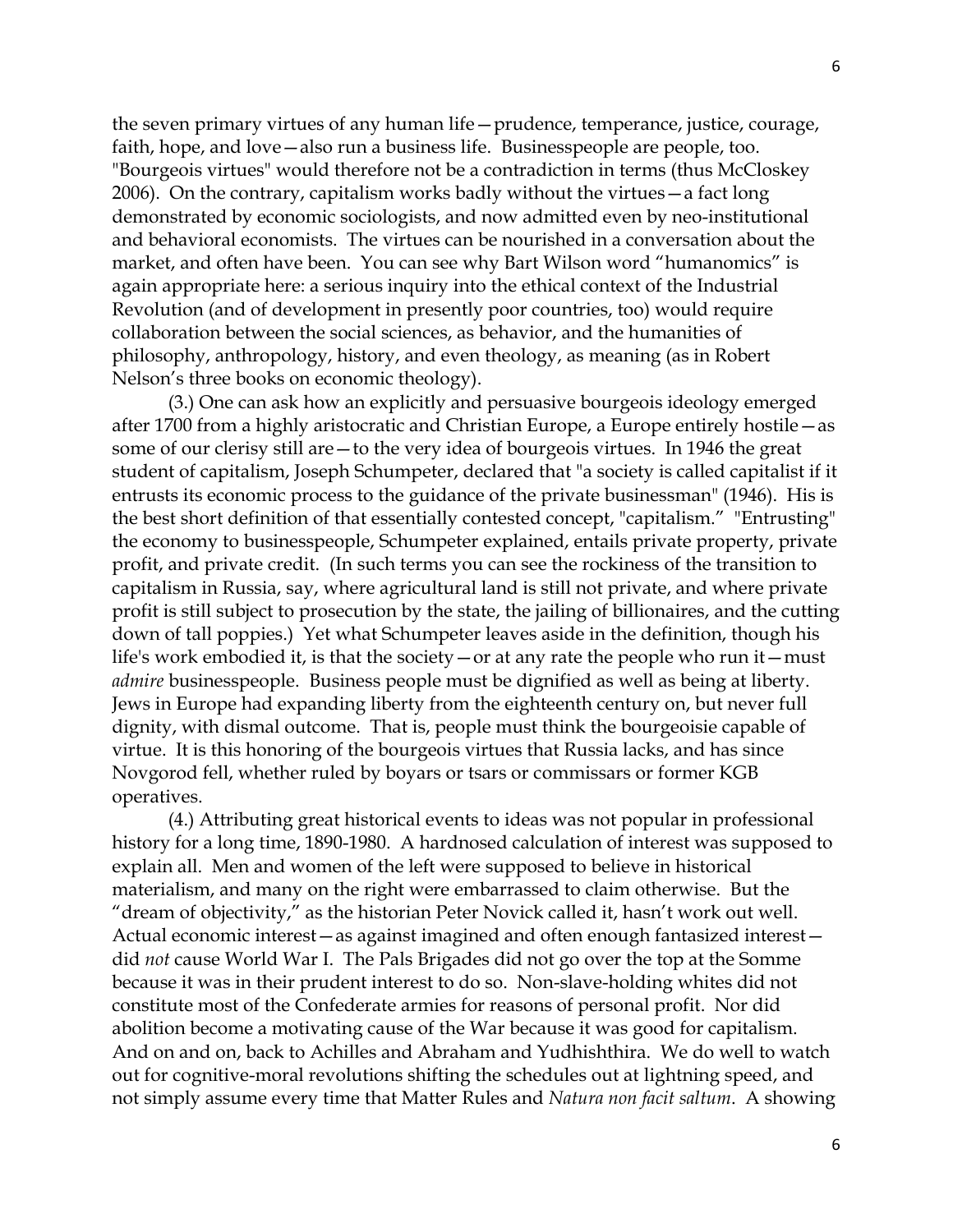the seven primary virtues of any human life—prudence, temperance, justice, courage, faith, hope, and love—also run a business life. Businesspeople are people, too. "Bourgeois virtues" would therefore not be a contradiction in terms (thus McCloskey 2006). On the contrary, capitalism works badly without the virtues—a fact long demonstrated by economic sociologists, and now admitted even by neo-institutional and behavioral economists. The virtues can be nourished in a conversation about the market, and often have been. You can see why Bart Wilson word "humanomics" is again appropriate here: a serious inquiry into the ethical context of the Industrial Revolution (and of development in presently poor countries, too) would require collaboration between the social sciences, as behavior, and the humanities of philosophy, anthropology, history, and even theology, as meaning (as in Robert Nelson's three books on economic theology).

(3.) One can ask how an explicitly and persuasive bourgeois ideology emerged after 1700 from a highly aristocratic and Christian Europe, a Europe entirely hostile—as some of our clerisy still are—to the very idea of bourgeois virtues. In 1946 the great student of capitalism, Joseph Schumpeter, declared that "a society is called capitalist if it entrusts its economic process to the guidance of the private businessman" (1946). His is the best short definition of that essentially contested concept, "capitalism." "Entrusting" the economy to businesspeople, Schumpeter explained, entails private property, private profit, and private credit. (In such terms you can see the rockiness of the transition to capitalism in Russia, say, where agricultural land is still not private, and where private profit is still subject to prosecution by the state, the jailing of billionaires, and the cutting down of tall poppies.) Yet what Schumpeter leaves aside in the definition, though his life's work embodied it, is that the society—or at any rate the people who run it—must *admire* businesspeople. Business people must be dignified as well as being at liberty. Jews in Europe had expanding liberty from the eighteenth century on, but never full dignity, with dismal outcome. That is, people must think the bourgeoisie capable of virtue. It is this honoring of the bourgeois virtues that Russia lacks, and has since Novgorod fell, whether ruled by boyars or tsars or commissars or former KGB operatives.

(4.) Attributing great historical events to ideas was not popular in professional history for a long time, 1890-1980. A hardnosed calculation of interest was supposed to explain all. Men and women of the left were supposed to believe in historical materialism, and many on the right were embarrassed to claim otherwise. But the "dream of objectivity," as the historian Peter Novick called it, hasn't work out well. Actual economic interest—as against imagined and often enough fantasized interest did *not* cause World War I. The Pals Brigades did not go over the top at the Somme because it was in their prudent interest to do so. Non-slave-holding whites did not constitute most of the Confederate armies for reasons of personal profit. Nor did abolition become a motivating cause of the War because it was good for capitalism. And on and on, back to Achilles and Abraham and Yudhishthira. We do well to watch out for cognitive-moral revolutions shifting the schedules out at lightning speed, and not simply assume every time that Matter Rules and *Natura non facit saltum*. A showing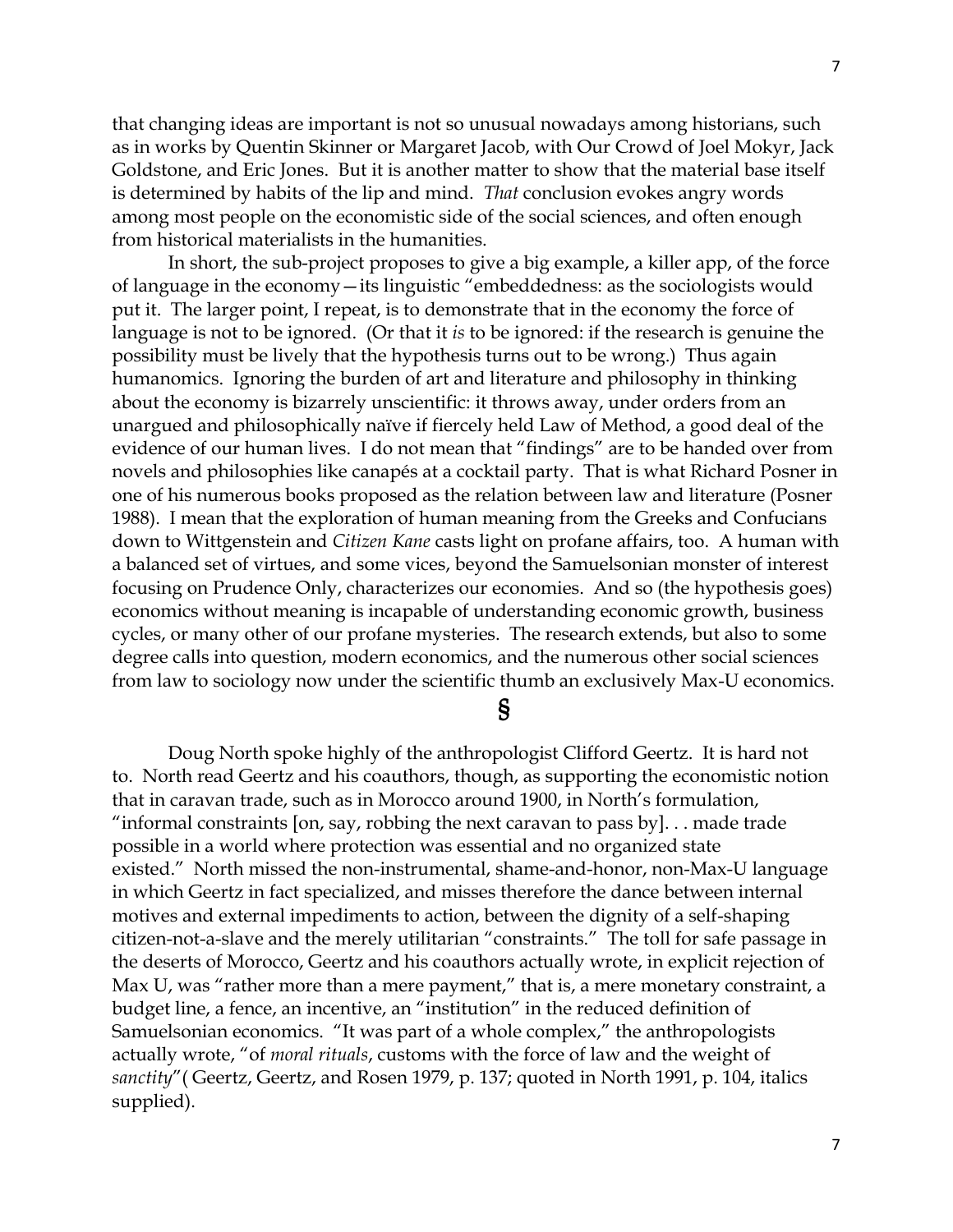that changing ideas are important is not so unusual nowadays among historians, such as in works by Quentin Skinner or Margaret Jacob, with Our Crowd of Joel Mokyr, Jack Goldstone, and Eric Jones. But it is another matter to show that the material base itself is determined by habits of the lip and mind. *That* conclusion evokes angry words among most people on the economistic side of the social sciences, and often enough from historical materialists in the humanities.

In short, the sub-project proposes to give a big example, a killer app, of the force of language in the economy—its linguistic "embeddedness: as the sociologists would put it. The larger point, I repeat, is to demonstrate that in the economy the force of language is not to be ignored. (Or that it *is* to be ignored: if the research is genuine the possibility must be lively that the hypothesis turns out to be wrong.) Thus again humanomics. Ignoring the burden of art and literature and philosophy in thinking about the economy is bizarrely unscientific: it throws away, under orders from an unargued and philosophically naïve if fiercely held Law of Method, a good deal of the evidence of our human lives. I do not mean that "findings" are to be handed over from novels and philosophies like canapés at a cocktail party. That is what Richard Posner in one of his numerous books proposed as the relation between law and literature (Posner 1988). I mean that the exploration of human meaning from the Greeks and Confucians down to Wittgenstein and *Citizen Kane* casts light on profane affairs, too. A human with a balanced set of virtues, and some vices, beyond the Samuelsonian monster of interest focusing on Prudence Only, characterizes our economies. And so (the hypothesis goes) economics without meaning is incapable of understanding economic growth, business cycles, or many other of our profane mysteries. The research extends, but also to some degree calls into question, modern economics, and the numerous other social sciences from law to sociology now under the scientific thumb an exclusively Max-U economics.

## **§**

Doug North spoke highly of the anthropologist Clifford Geertz. It is hard not to. North read Geertz and his coauthors, though, as supporting the economistic notion that in caravan trade, such as in Morocco around 1900, in North's formulation, "informal constraints [on, say, robbing the next caravan to pass by]... made trade possible in a world where protection was essential and no organized state existed." North missed the non-instrumental, shame-and-honor, non-Max-U language in which Geertz in fact specialized, and misses therefore the dance between internal motives and external impediments to action, between the dignity of a self-shaping citizen-not-a-slave and the merely utilitarian "constraints." The toll for safe passage in the deserts of Morocco, Geertz and his coauthors actually wrote, in explicit rejection of Max U, was "rather more than a mere payment," that is, a mere monetary constraint, a budget line, a fence, an incentive, an "institution" in the reduced definition of Samuelsonian economics. "It was part of a whole complex," the anthropologists actually wrote, "of *moral rituals*, customs with the force of law and the weight of *sanctity*"( Geertz, Geertz, and Rosen 1979, p. 137; quoted in North 1991, p. 104, italics supplied).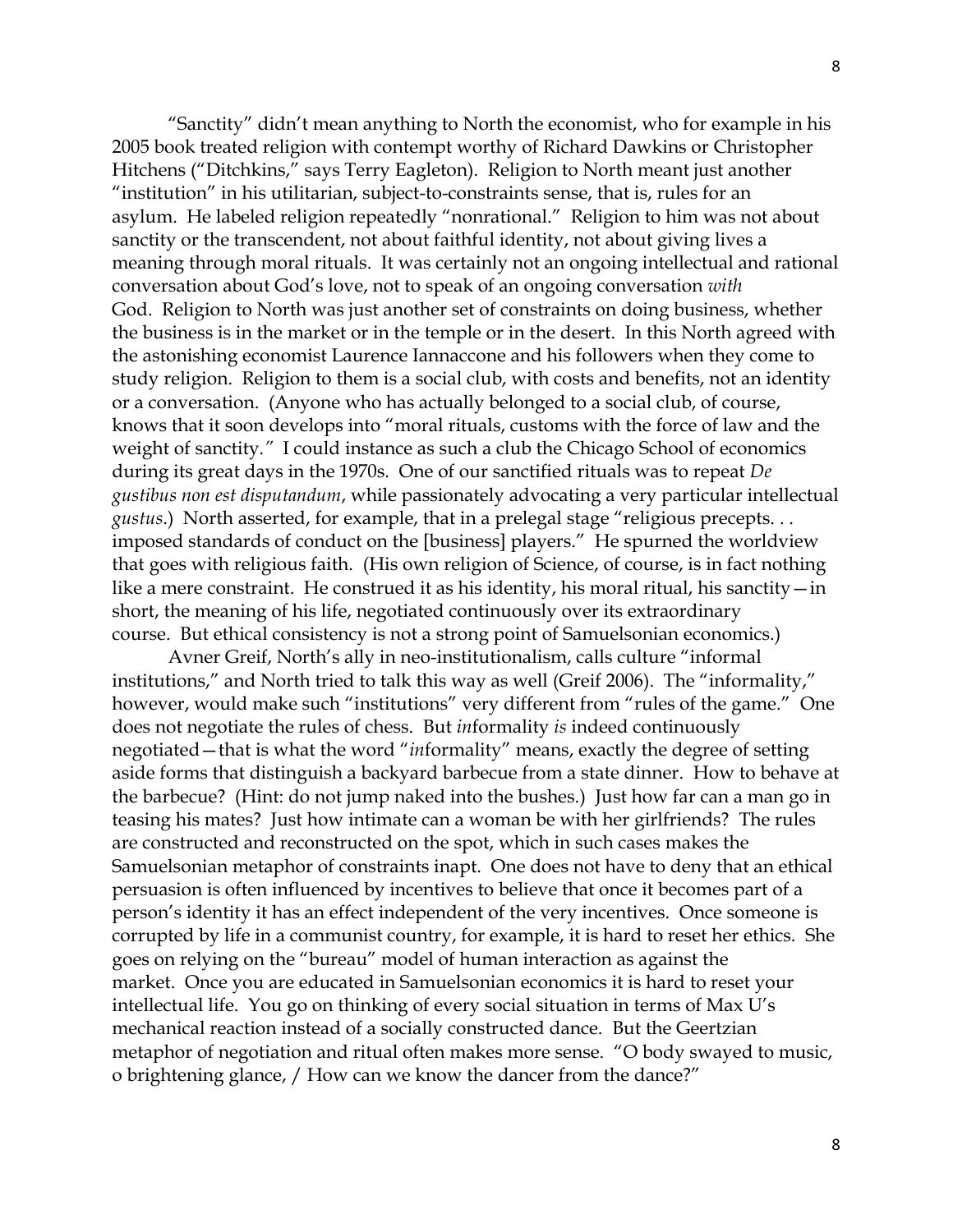8

"Sanctity" didn't mean anything to North the economist, who for example in his 2005 book treated religion with contempt worthy of Richard Dawkins or Christopher Hitchens ("Ditchkins," says Terry Eagleton). Religion to North meant just another "institution" in his utilitarian, subject-to-constraints sense, that is, rules for an asylum. He labeled religion repeatedly "nonrational." Religion to him was not about sanctity or the transcendent, not about faithful identity, not about giving lives a meaning through moral rituals. It was certainly not an ongoing intellectual and rational conversation about God's love, not to speak of an ongoing conversation *with* God. Religion to North was just another set of constraints on doing business, whether the business is in the market or in the temple or in the desert. In this North agreed with the astonishing economist Laurence Iannaccone and his followers when they come to study religion. Religion to them is a social club, with costs and benefits, not an identity or a conversation. (Anyone who has actually belonged to a social club, of course, knows that it soon develops into "moral rituals, customs with the force of law and the weight of sanctity*."* I could instance as such a club the Chicago School of economics during its great days in the 1970s. One of our sanctified rituals was to repeat *De gustibus non est disputandum*, while passionately advocating a very particular intellectual *gustus*.) North asserted, for example, that in a prelegal stage "religious precepts. . . imposed standards of conduct on the [business] players." He spurned the worldview that goes with religious faith. (His own religion of Science, of course, is in fact nothing like a mere constraint. He construed it as his identity, his moral ritual, his sanctity—in short, the meaning of his life, negotiated continuously over its extraordinary course. But ethical consistency is not a strong point of Samuelsonian economics.)

Avner Greif, North's ally in neo-institutionalism, calls culture "informal institutions," and North tried to talk this way as well (Greif 2006). The "informality," however, would make such "institutions" very different from "rules of the game." One does not negotiate the rules of chess. But *in*formality *is* indeed continuously negotiated—that is what the word "*in*formality" means, exactly the degree of setting aside forms that distinguish a backyard barbecue from a state dinner. How to behave at the barbecue? (Hint: do not jump naked into the bushes.) Just how far can a man go in teasing his mates? Just how intimate can a woman be with her girlfriends? The rules are constructed and reconstructed on the spot, which in such cases makes the Samuelsonian metaphor of constraints inapt. One does not have to deny that an ethical persuasion is often influenced by incentives to believe that once it becomes part of a person's identity it has an effect independent of the very incentives. Once someone is corrupted by life in a communist country, for example, it is hard to reset her ethics. She goes on relying on the "bureau" model of human interaction as against the market. Once you are educated in Samuelsonian economics it is hard to reset your intellectual life. You go on thinking of every social situation in terms of Max U's mechanical reaction instead of a socially constructed dance. But the Geertzian metaphor of negotiation and ritual often makes more sense. "O body swayed to music, o brightening glance, / How can we know the dancer from the dance?"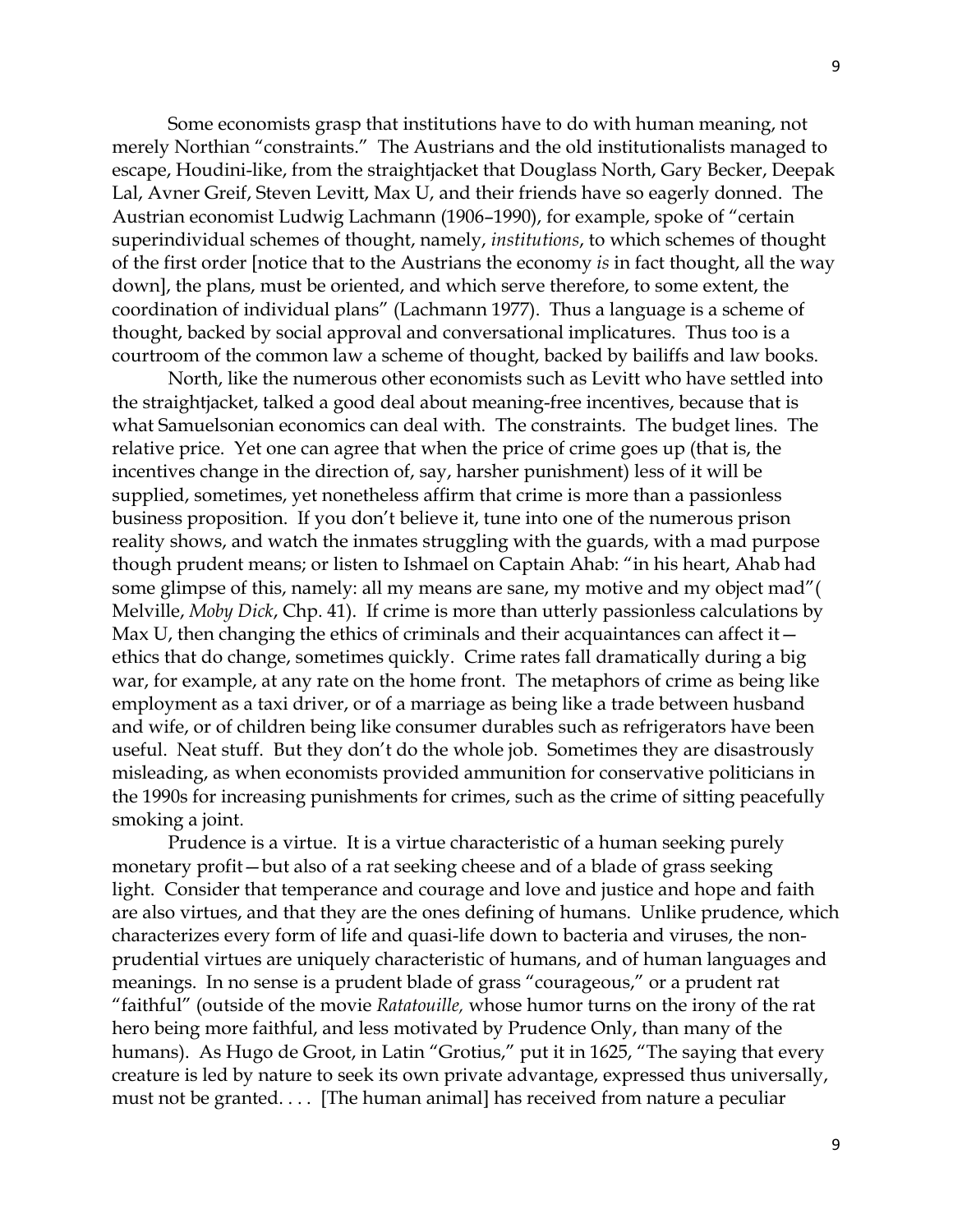Some economists grasp that institutions have to do with human meaning, not merely Northian "constraints." The Austrians and the old institutionalists managed to escape, Houdini-like, from the straightjacket that Douglass North, Gary Becker, Deepak Lal, Avner Greif, Steven Levitt, Max U, and their friends have so eagerly donned. The Austrian economist Ludwig Lachmann (1906–1990), for example, spoke of "certain superindividual schemes of thought, namely, *institutions*, to which schemes of thought of the first order [notice that to the Austrians the economy *is* in fact thought, all the way down], the plans, must be oriented, and which serve therefore, to some extent, the coordination of individual plans" (Lachmann 1977). Thus a language is a scheme of thought, backed by social approval and conversational implicatures. Thus too is a courtroom of the common law a scheme of thought, backed by bailiffs and law books.

North, like the numerous other economists such as Levitt who have settled into the straightjacket, talked a good deal about meaning-free incentives, because that is what Samuelsonian economics can deal with. The constraints. The budget lines. The relative price. Yet one can agree that when the price of crime goes up (that is, the incentives change in the direction of, say, harsher punishment) less of it will be supplied, sometimes, yet nonetheless affirm that crime is more than a passionless business proposition. If you don't believe it, tune into one of the numerous prison reality shows, and watch the inmates struggling with the guards, with a mad purpose though prudent means; or listen to Ishmael on Captain Ahab: "in his heart, Ahab had some glimpse of this, namely: all my means are sane, my motive and my object mad"( Melville, *Moby Dick*, Chp. 41). If crime is more than utterly passionless calculations by Max U, then changing the ethics of criminals and their acquaintances can affect it ethics that do change, sometimes quickly. Crime rates fall dramatically during a big war, for example, at any rate on the home front. The metaphors of crime as being like employment as a taxi driver, or of a marriage as being like a trade between husband and wife, or of children being like consumer durables such as refrigerators have been useful. Neat stuff. But they don't do the whole job. Sometimes they are disastrously misleading, as when economists provided ammunition for conservative politicians in the 1990s for increasing punishments for crimes, such as the crime of sitting peacefully smoking a joint.

Prudence is a virtue. It is a virtue characteristic of a human seeking purely monetary profit—but also of a rat seeking cheese and of a blade of grass seeking light. Consider that temperance and courage and love and justice and hope and faith are also virtues, and that they are the ones defining of humans. Unlike prudence, which characterizes every form of life and quasi-life down to bacteria and viruses, the nonprudential virtues are uniquely characteristic of humans, and of human languages and meanings. In no sense is a prudent blade of grass "courageous," or a prudent rat "faithful" (outside of the movie *Ratatouille,* whose humor turns on the irony of the rat hero being more faithful, and less motivated by Prudence Only, than many of the humans). As Hugo de Groot, in Latin "Grotius," put it in 1625, "The saying that every creature is led by nature to seek its own private advantage, expressed thus universally, must not be granted. . . . [The human animal] has received from nature a peculiar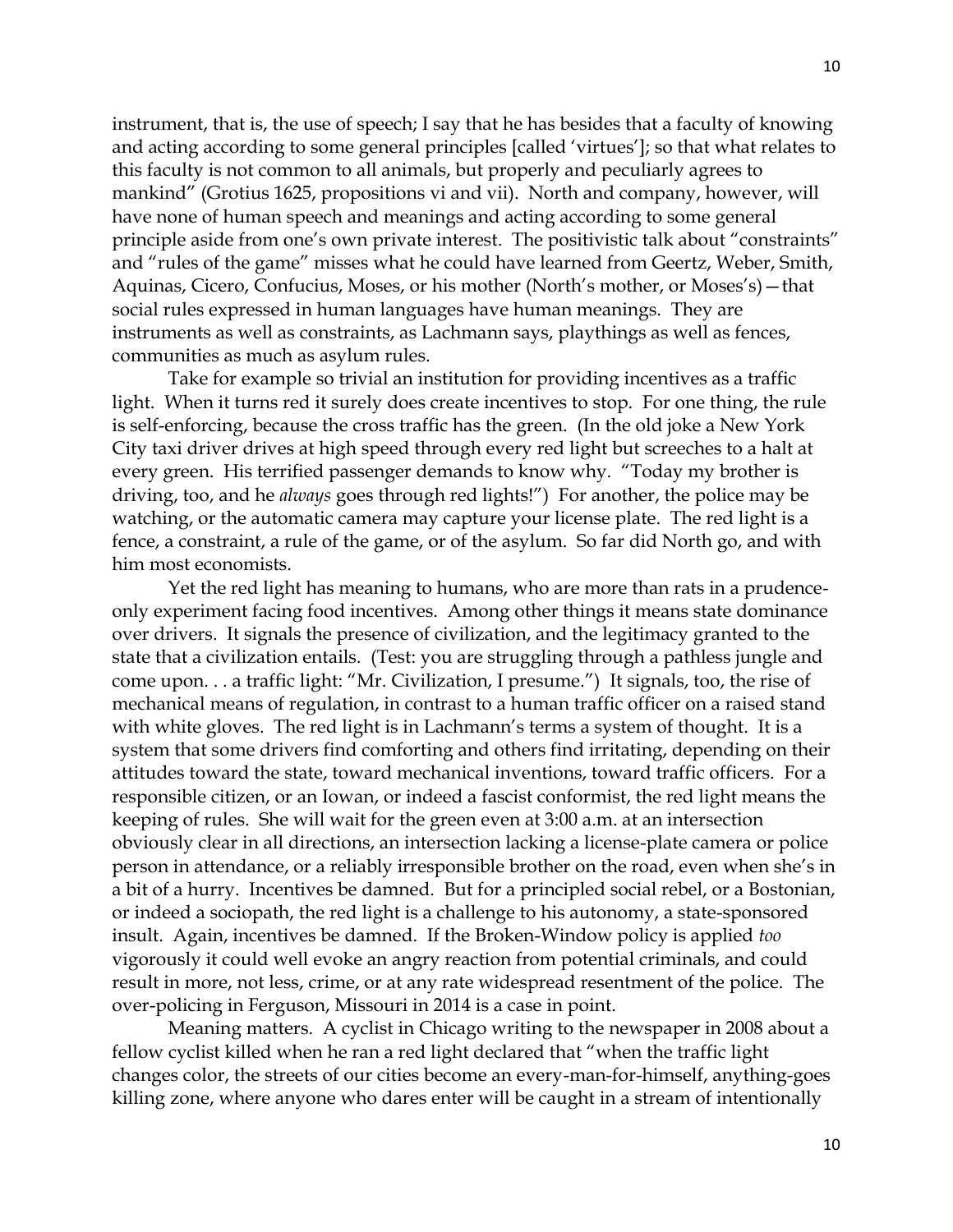instrument, that is, the use of speech; I say that he has besides that a faculty of knowing and acting according to some general principles [called 'virtues']; so that what relates to this faculty is not common to all animals, but properly and peculiarly agrees to mankind" (Grotius 1625, propositions vi and vii). North and company, however, will have none of human speech and meanings and acting according to some general principle aside from one's own private interest. The positivistic talk about "constraints" and "rules of the game" misses what he could have learned from Geertz, Weber, Smith, Aquinas, Cicero, Confucius, Moses, or his mother (North's mother, or Moses's)—that social rules expressed in human languages have human meanings. They are instruments as well as constraints, as Lachmann says, playthings as well as fences, communities as much as asylum rules.

Take for example so trivial an institution for providing incentives as a traffic light. When it turns red it surely does create incentives to stop. For one thing, the rule is self-enforcing, because the cross traffic has the green. (In the old joke a New York City taxi driver drives at high speed through every red light but screeches to a halt at every green. His terrified passenger demands to know why. "Today my brother is driving, too, and he *always* goes through red lights!") For another, the police may be watching, or the automatic camera may capture your license plate. The red light is a fence, a constraint, a rule of the game, or of the asylum. So far did North go, and with him most economists.

Yet the red light has meaning to humans, who are more than rats in a prudenceonly experiment facing food incentives. Among other things it means state dominance over drivers. It signals the presence of civilization, and the legitimacy granted to the state that a civilization entails. (Test: you are struggling through a pathless jungle and come upon. . . a traffic light: "Mr. Civilization, I presume.") It signals, too, the rise of mechanical means of regulation, in contrast to a human traffic officer on a raised stand with white gloves. The red light is in Lachmann's terms a system of thought. It is a system that some drivers find comforting and others find irritating, depending on their attitudes toward the state, toward mechanical inventions, toward traffic officers. For a responsible citizen, or an Iowan, or indeed a fascist conformist, the red light means the keeping of rules. She will wait for the green even at 3:00 a.m. at an intersection obviously clear in all directions, an intersection lacking a license-plate camera or police person in attendance, or a reliably irresponsible brother on the road, even when she's in a bit of a hurry. Incentives be damned. But for a principled social rebel, or a Bostonian, or indeed a sociopath, the red light is a challenge to his autonomy, a state-sponsored insult. Again, incentives be damned. If the Broken-Window policy is applied *too* vigorously it could well evoke an angry reaction from potential criminals, and could result in more, not less, crime, or at any rate widespread resentment of the police. The over-policing in Ferguson, Missouri in 2014 is a case in point.

Meaning matters. A cyclist in Chicago writing to the newspaper in 2008 about a fellow cyclist killed when he ran a red light declared that "when the traffic light changes color, the streets of our cities become an every-man-for-himself, anything-goes killing zone, where anyone who dares enter will be caught in a stream of intentionally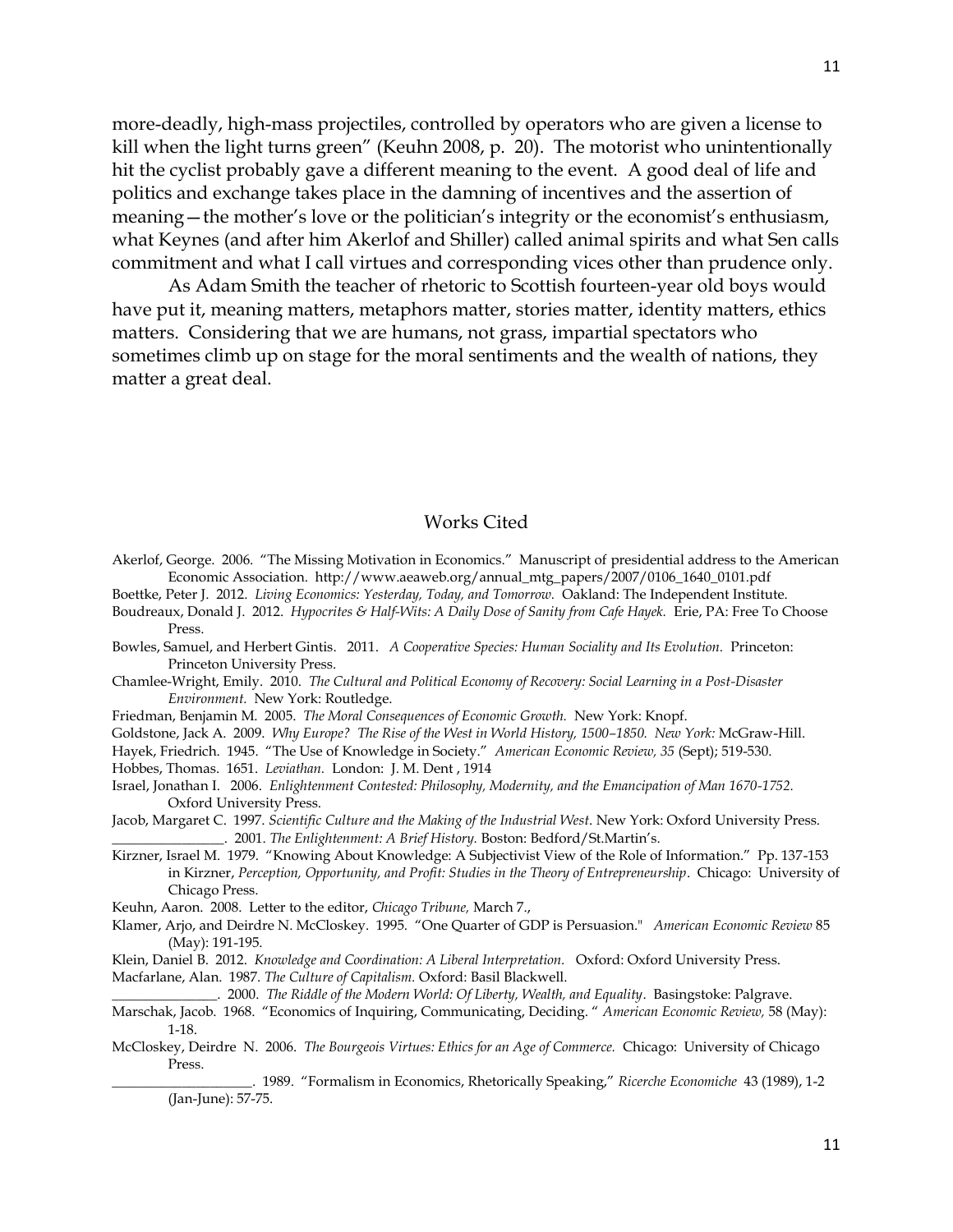more-deadly, high-mass projectiles, controlled by operators who are given a license to kill when the light turns green" (Keuhn 2008, p. 20). The motorist who unintentionally hit the cyclist probably gave a different meaning to the event. A good deal of life and politics and exchange takes place in the damning of incentives and the assertion of meaning—the mother's love or the politician's integrity or the economist's enthusiasm, what Keynes (and after him Akerlof and Shiller) called animal spirits and what Sen calls commitment and what I call virtues and corresponding vices other than prudence only.

As Adam Smith the teacher of rhetoric to Scottish fourteen-year old boys would have put it, meaning matters, metaphors matter, stories matter, identity matters, ethics matters. Considering that we are humans, not grass, impartial spectators who sometimes climb up on stage for the moral sentiments and the wealth of nations, they matter a great deal.

## Works Cited

- Akerlof, George. 2006. "The Missing Motivation in Economics." Manuscript of presidential address to the American Economic Association. http://www.aeaweb.org/annual\_mtg\_papers/2007/0106\_1640\_0101.pdf
- Boettke, Peter J. 2012. *Living Economics: Yesterday, Today, and Tomorrow.* Oakland: The Independent Institute.
- Boudreaux, Donald J. 2012. *Hypocrites & Half-Wits: A Daily Dose of Sanity from Cafe Hayek.* Erie, PA: Free To Choose Press.
- Bowles, Samuel, and Herbert Gintis. 2011. *A Cooperative Species: Human Sociality and Its Evolution.* Princeton: Princeton University Press.
- Chamlee-Wright, Emily. 2010. *The Cultural and Political Economy of Recovery: Social Learning in a Post-Disaster Environment.* New York: Routledge.
- Friedman, Benjamin M. 2005. *The Moral Consequences of Economic Growth.* New York: Knopf.
- Goldstone, Jack A. 2009. *Why Europe? The Rise of the West in World History, 1500–1850. New York:* McGraw-Hill.
- Hayek, Friedrich. 1945. "The Use of Knowledge in Society." *American Economic Review, 35* (Sept); 519-530.

Hobbes, Thomas. 1651. *Leviathan.* London: J. M. Dent , 1914

Israel, Jonathan I. 2006. *Enlightenment Contested: Philosophy, Modernity, and the Emancipation of Man 1670-1752.*  Oxford University Press.

Jacob, Margaret C. 1997. *Scientific Culture and the Making of the Industrial West*. New York: Oxford University Press. \_\_\_\_\_\_\_\_\_\_\_\_\_\_\_\_. 2001. *The Enlightenment: A Brief History.* Boston: Bedford/St.Martin's.

Kirzner, Israel M. 1979. "Knowing About Knowledge: A Subjectivist View of the Role of Information." Pp. 137-153 in Kirzner, *Perception, Opportunity, and Profit: Studies in the Theory of Entrepreneurship*. Chicago: University of Chicago Press.

Keuhn, Aaron. 2008. Letter to the editor, *Chicago Tribune,* March 7.,

- Klamer, Arjo, and Deirdre N. McCloskey. 1995. "One Quarter of GDP is Persuasion." *American Economic Review* 85 (May): 191-195.
- Klein, Daniel B. 2012. *Knowledge and Coordination: A Liberal Interpretation.* Oxford: Oxford University Press.

Macfarlane, Alan. 1987. *The Culture of Capitalism.* Oxford: Basil Blackwell.

\_\_\_\_\_\_\_\_\_\_\_\_\_\_\_. 2000. *The Riddle of the Modern World: Of Liberty, Wealth, and Equality*. Basingstoke: Palgrave.

Marschak, Jacob. 1968. "Economics of Inquiring, Communicating, Deciding. " *American Economic Review,* 58 (May): 1-18.

McCloskey, Deirdre N. 2006. *The Bourgeois Virtues: Ethics for an Age of Commerce.* Chicago: University of Chicago Press.

\_\_\_\_\_\_\_\_\_\_\_\_\_\_\_\_\_\_\_\_. 1989. "Formalism in Economics, Rhetorically Speaking," *Ricerche Economiche* 43 (1989), 1-2 (Jan-June): 57-75.